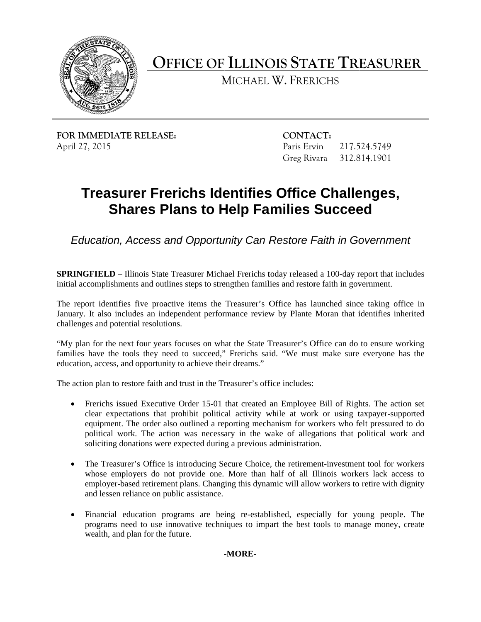

**OFFICE OF ILLINOIS STATE TREASURER** 

MICHAEL W. FRERICHS

**FOR IMMEDIATE RELEASE: CONTACT:**  April 27, 2015 Paris Ervin 217.524.5749

Greg Rivara 312.814.1901

## **Treasurer Frerichs Identifies Office Challenges, Shares Plans to Help Families Succeed**

*Education, Access and Opportunity Can Restore Faith in Government* 

**SPRINGFIELD** – Illinois State Treasurer Michael Frerichs today released a 100-day report that includes initial accomplishments and outlines steps to strengthen families and restore faith in government.

The report identifies five proactive items the Treasurer's Office has launched since taking office in January. It also includes an independent performance review by Plante Moran that identifies inherited challenges and potential resolutions.

"My plan for the next four years focuses on what the State Treasurer's Office can do to ensure working families have the tools they need to succeed," Frerichs said. "We must make sure everyone has the education, access, and opportunity to achieve their dreams."

The action plan to restore faith and trust in the Treasurer's office includes:

- Frerichs issued Executive Order 15-01 that created an Employee Bill of Rights. The action set clear expectations that prohibit political activity while at work or using taxpayer-supported equipment. The order also outlined a reporting mechanism for workers who felt pressured to do political work. The action was necessary in the wake of allegations that political work and soliciting donations were expected during a previous administration.
- The Treasurer 's Office is introducing Secure Choice, the retirement-investment tool for workers whose employers do not provide one. More than half of all Illinois workers lack access to employer-based retirement plans. Changing this dynamic will allow workers to retire with dignity and lessen reliance on public assistance.
- Financial education programs are being re-established, especially for young people. The programs need to use innovative techniques to impart the best tools to manage money, create wealth, and plan for the future.

**-MORE-**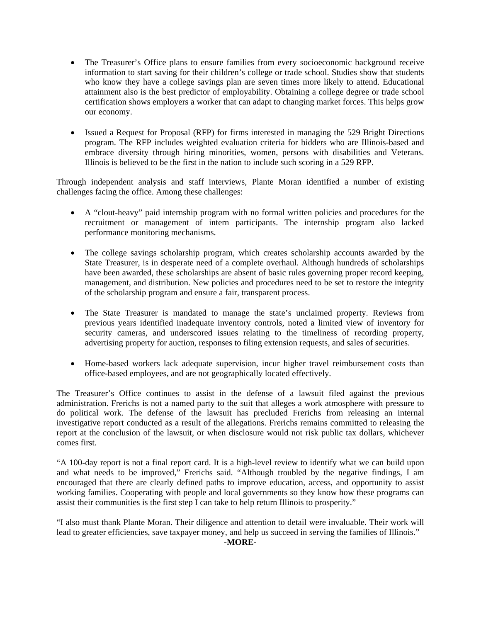- The Treasurer's Office plans to ensure families from every socioeconomic background receive information to start saving for their children's college or trade school. Studies show that students who know they have a college savings plan are seven times more likely to attend. Educational attainment also is the best predictor of employability. Obtaining a college degree or trade school certification shows employers a worker that can adapt to changing market forces. This helps grow our economy.
- Issued a Request for Proposal (RFP) for firms interested in managing the 529 Bright Directions program. The RFP includes weighted evaluation criteria for bidders who are Illinois-based and embrace diversity through hiring minorities, women, persons with disabilities and Veterans. Illinois is believed to be the first in the nation to include such scoring in a 529 RFP.

 challenges facing the office. Among these challenges: Through independent analysis and staff interviews, Plante Moran identified a number of existing

- A "clout-heavy" paid internship program with no formal written policies and procedures for the recruitment or management of intern participants. The internship program also lacked performance monitoring mechanisms.
- The college savings scholarship program, which creates scholarship accounts awarded by the State Treasurer, is in desperate need of a complete overhaul. Although hundreds of scholarships have been awarded, these scholarships are absent of basic rules governing proper record keeping, management, and distribution. New policies and procedures need to be set to restore the integrity of the scholarship program and ensure a fair, transparent process.
- The State Treasurer is mandated to manage the state's unclaimed property. Reviews from previous years identified inadequate inventory controls, noted a limited view of inventory for security cameras, and underscored issues relating to the timeliness of recording property, advertising property for auction, responses to filing extension requests, and sales of securities.
- Home-based workers lack adequate supervision, incur higher travel reimbursement costs than office-based employees, and are not geographically located effectively.

The Treasurer's Office continues to assist in the defense of a lawsuit filed against the previous administration. Frerichs is not a named party to the suit that alleges a work atmosphere with pressure to do political work. The defense of the lawsuit has precluded Frerichs from releasing an internal investigative report conducted as a result of the allegations. Frerichs remains committed to releasing the report at the conclusion of the lawsuit, or when disclosure would not risk public tax dollars, whichever comes first.

"A 100-day report is not a final report card. It is a high-level review to identify what we can build upon and what needs to be improved," Frerichs said. "Although troubled by the negative findings, I am encouraged that there are clearly defined paths to improve education, access, and opportunity to assist working families. Cooperating with people and local governments so they know how these programs can assist their communities is the first step I can take to help return Illinois to prosperity."

"I also must thank Plante Moran. Their diligence and attention to detail were invaluable. Their work will lead to greater efficiencies, save taxpayer money, and help us succeed in serving the families of Illinois."